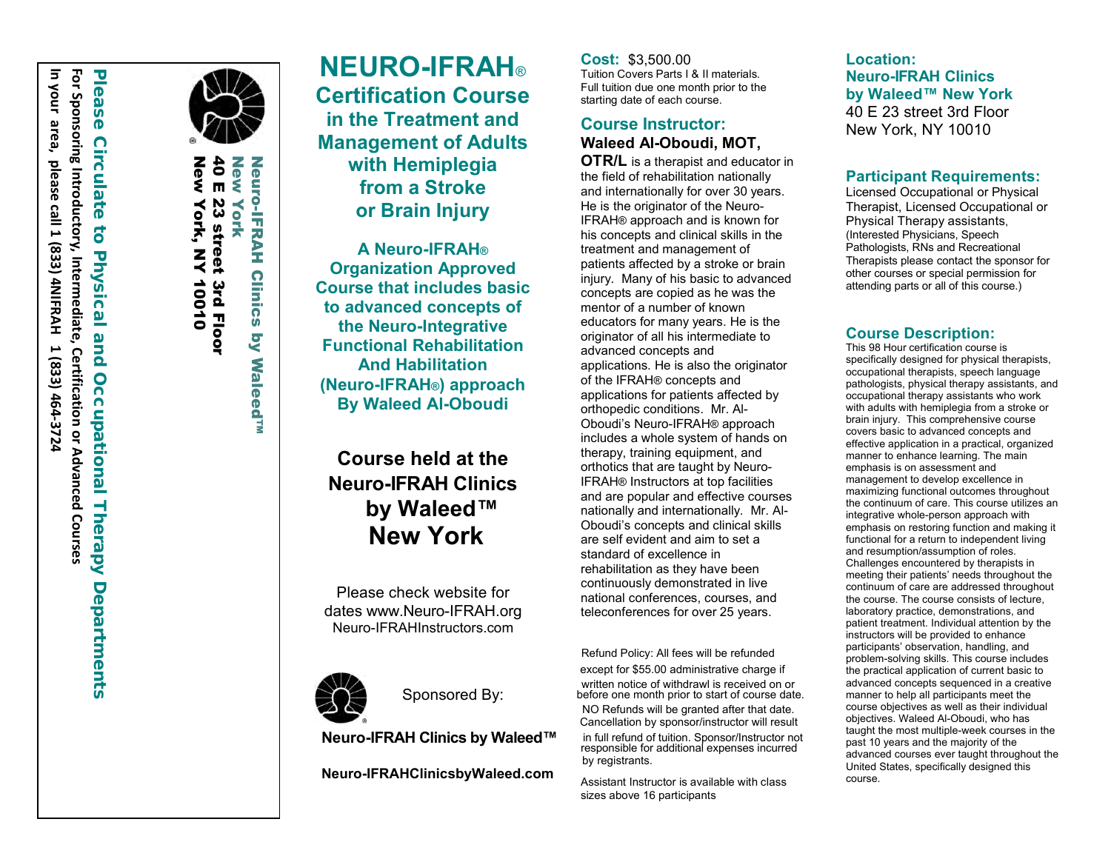

 $\bf 40$ New New York, NY 10010 New 40 E 23 street 3rd Floor New York  $\mathbf{m}$ 23 street 3rd Floor York York, NY 10010

**Neuro-IFRAH** Neuro-IFRAH Clinics by Waleed™ **Clinics S Waleed<sup>TM</sup>** 

**NEURO -IF RAH** ® **Certification Course in the Treatment and Management of Adults with Hemiplegia from a Stroke or Brain Injury A Neuro-IFRAH ®**

**Organization Approved Course that includes basic to advanced concepts of the Neuro-Integrative Functional Rehabilitation And Habilitation (Neuro-IFRAH ® ) approach By Waleed Al-Oboudi**

# **Course held at the Neuro-I F RAH Clinic s by Waleed™ New York**

Please check website for dates www.Neuro-IFRAH.org Neuro-IFRAHInstructors.com



Sponsored By:

**Neuro-IFRAH Clinics by Waleed™**

**Neuro-IFRAHClinicsbyWaleed.com**

**Cost:** \$ 3 , 500.00 Tuition Covers Parts I & II materials. Full tuition due one month prior to the starting date of each course.

### **Course Instructor: Waleed Al -Oboudi, MOT,**

**OTR/L** is a therapist and educator in the field of rehabilitation nationally and internationally for over 30 years. He is the originator of the Neuro - IFRAH ® approach and is known for his concepts and clinical skills in the treatment and management of patients affected by a stroke or brain injury. Many of his basic to advanced concepts are copied as he was the mentor of a number of known educators for many years. He is the originator of all his intermediate to advanced concepts and applications. He is also the originator of the IFRAH ® concepts and applications for patients affected by orthopedic conditions. Mr. Al - Oboudi's Neuro -IFRAH ® approach includes a whole system of hands on therapy, training equipment, and orthotics that are taught by Neuro - IFRAH ® Instructors at top facilities and are popular and effective courses nationally and internationally. Mr. Al - Oboudi's concepts and clinical skills are self evident and aim to set a standard of excellence in rehabilitation as they have been continuously demonstrated in live national conferences, courses, and teleconferences for over 25 years.

Refund Policy: All fees will be refunded except for \$55.00 administrative charge if written notice of withdrawl is received on or before one month prior to start of course date. NO Refunds will be granted after that date. Cancellation by sponsor/instructor will result

in full refund of tuition. Sponsor/Instructor not responsible for additional expenses incurred by registrants.

Assistant Instructor is available with class sizes above 16 participants

**Location: Neuro-I F R A H Clinic s by Waleed™ New York** 40 E 23 street 3rd Floor New York, NY 10010

#### **Participant Requirements:**

Licensed Occupational or Physical Therapist, Licensed Occupational or Physical Therapy assistants , (Interested Physicians, Speech Pathologists, RNs and Recreational Therapists please contact the sponsor for other courses or special permission for attending parts or all of this course.)

#### **Course Description:**

This 98 Hour certification c ourse is specifically designed for physical therapists, occupational therapists, speech language pathologists, physical therapy assistants, and occupational therapy assistants who work with adults with hemiplegia from a stroke or brain injury. This comprehensive course covers basic to advanced concepts and effective application in a practical, organized manner to enhance learning. The main emphasis is on assessment and management to develop excellence in maximizing functional outcomes throughout the continuum of care. This course utilizes an integrative whole-person approach with emphasis on restoring function and making it functional for a return to independent living and resumption/assumption of roles. Challenges encountered by therapists in continuum of care are addressed throughout the course. The course consists of lecture, laboratory practice, demonstrations, and patient treatment. Individual attention by the instructors will be provided to enhance participants' observation, handling, and problem-solving skills. This course includes the practical application of current basic to advanced concepts sequenced in a creative course objectives as well as their individual objectives. Waleed Al-Oboudi, who has taught the most multiple-week courses in the past 10 years and the majority of the advanced courses ever taught throughout the United States, specifically designed this course.